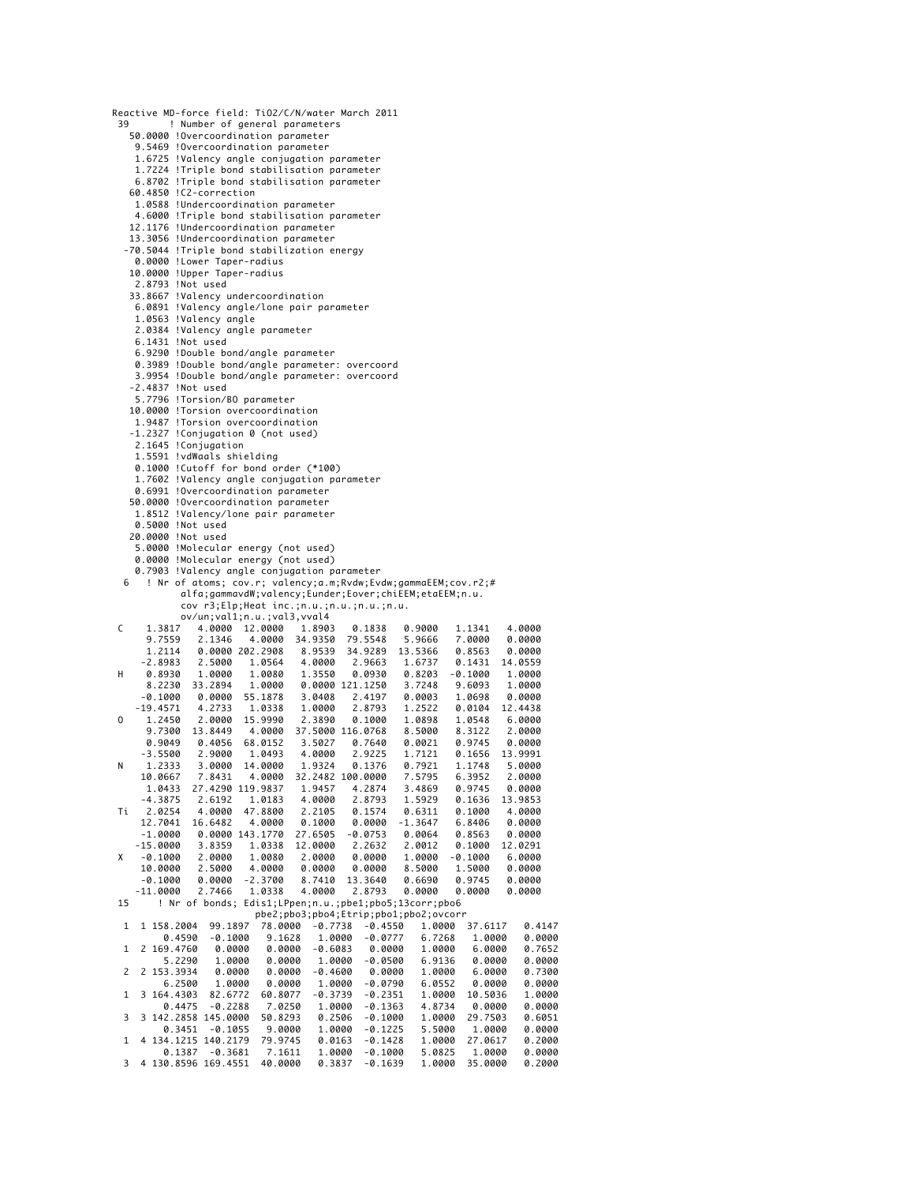| 39           | Reactive MD-force field: TiO2/C/N/water March 2011            |                                       |                  |           |           |           |         |
|--------------|---------------------------------------------------------------|---------------------------------------|------------------|-----------|-----------|-----------|---------|
|              |                                                               |                                       |                  |           |           |           |         |
|              | ! Number of general parameters                                |                                       |                  |           |           |           |         |
|              | 50.0000 !Overcoordination parameter                           |                                       |                  |           |           |           |         |
|              | 9.5469 !Overcoordination parameter                            |                                       |                  |           |           |           |         |
|              | 1.6725 !Valency angle conjugation parameter                   |                                       |                  |           |           |           |         |
|              | 1.7224 !Triple bond stabilisation parameter                   |                                       |                  |           |           |           |         |
|              | 6.8702 !Triple bond stabilisation parameter                   |                                       |                  |           |           |           |         |
|              | 60.4850 !C2-correction                                        |                                       |                  |           |           |           |         |
|              | 1.0588 !Undercoordination parameter                           |                                       |                  |           |           |           |         |
|              |                                                               |                                       |                  |           |           |           |         |
|              | 4.6000 !Triple bond stabilisation parameter                   |                                       |                  |           |           |           |         |
|              | 12.1176 !Undercoordination parameter                          |                                       |                  |           |           |           |         |
|              | 13.3056 !Undercoordination parameter                          |                                       |                  |           |           |           |         |
|              | -70.5044 !Triple bond stabilization energy                    |                                       |                  |           |           |           |         |
|              | 0.0000 !Lower Taper-radius                                    |                                       |                  |           |           |           |         |
|              | 10.0000 !Upper Taper-radius                                   |                                       |                  |           |           |           |         |
|              | 2.8793 !Not used                                              |                                       |                  |           |           |           |         |
|              | 33.8667 !Valency undercoordination                            |                                       |                  |           |           |           |         |
|              | 6.0891 !Valency angle/lone pair parameter                     |                                       |                  |           |           |           |         |
|              | 1.0563 !Valency angle                                         |                                       |                  |           |           |           |         |
|              | 2.0384 !Valency angle parameter                               |                                       |                  |           |           |           |         |
|              | 6.1431 !Not used                                              |                                       |                  |           |           |           |         |
|              |                                                               |                                       |                  |           |           |           |         |
|              | 6.9290 !Double bond/angle parameter                           |                                       |                  |           |           |           |         |
|              | 0.3989 !Double bond/angle parameter: overcoord                |                                       |                  |           |           |           |         |
|              | 3.9954 !Double bond/angle parameter: overcoord                |                                       |                  |           |           |           |         |
|              | -2.4837 !Not used                                             |                                       |                  |           |           |           |         |
|              | 5.7796 !Torsion/BO parameter                                  |                                       |                  |           |           |           |         |
|              | 10.0000 !Torsion overcoordination                             |                                       |                  |           |           |           |         |
|              | 1.9487 !Torsion overcoordination                              |                                       |                  |           |           |           |         |
|              | -1.2327 !Conjugation 0 (not used)                             |                                       |                  |           |           |           |         |
|              | 2.1645 !Conjugation                                           |                                       |                  |           |           |           |         |
|              | 1.5591 !vdWaals shielding                                     |                                       |                  |           |           |           |         |
|              | 0.1000 !Cutoff for bond order (*100)                          |                                       |                  |           |           |           |         |
|              | 1.7602 !Valency angle conjugation parameter                   |                                       |                  |           |           |           |         |
|              | 0.6991 !Overcoordination parameter                            |                                       |                  |           |           |           |         |
|              |                                                               |                                       |                  |           |           |           |         |
|              | 50.0000 !Overcoordination parameter                           |                                       |                  |           |           |           |         |
|              | 1.8512 !Valency/lone pair parameter                           |                                       |                  |           |           |           |         |
|              | 0.5000 !Not used                                              |                                       |                  |           |           |           |         |
|              | 20.0000 !Not used                                             |                                       |                  |           |           |           |         |
|              | 5.0000 !Molecular energy (not used)                           |                                       |                  |           |           |           |         |
|              | 0.0000 !Molecular energy (not used)                           |                                       |                  |           |           |           |         |
|              | 0.7903 !Valency angle conjugation parameter                   |                                       |                  |           |           |           |         |
| 6            | ! Nr of atoms; cov.r; valency;a.m;Rvdw;Evdw;gammaEEM;cov.r2;# |                                       |                  |           |           |           |         |
|              | alfa;gammavdW;valency;Eunder;Eover;chiEEM;etaEEM;n.u.         |                                       |                  |           |           |           |         |
|              |                                                               |                                       |                  |           |           |           |         |
|              | cov r3;Elp;Heat inc.;n.u.;n.u.;n.u.;n.u.                      |                                       |                  |           |           |           |         |
|              | ov/un;val1;n.u.;val3,vval4                                    |                                       |                  |           |           |           |         |
| C            | 1.3817<br>4.0000                                              | 12.0000                               | 1.8903           | 0.1838    | 0.9000    | 1.1341    | 4.0000  |
|              | 9.7559<br>2.1346                                              | 4.0000 34.9350                        |                  | 79.5548   | 5.9666    | 7.0000    | 0.0000  |
|              | 1.2114                                                        |                                       | 8.9539           | 34.9289   | 13.5366   | 0.8563    | 0.0000  |
|              | 0.0000 202.2908                                               |                                       |                  |           |           |           |         |
| H            | -2.8983<br>2.5000                                             | 1.0564                                | 4.0000           | 2.9663    | 1.6737    | 0.1431    | 14.0559 |
|              | 0.8930 1.0000                                                 | 1.0080                                | 1.3550           | 0.0930    | 0.8203    | $-0.1000$ | 1.0000  |
|              | 8.2230 33.2894                                                | 1.0000                                | 0.0000 121.1250  |           | 3.7248    | 9.6093    | 1.0000  |
|              | $-0.1000$ 0.0000 55.1878                                      |                                       | 3.0408           | 2.4197    | 0.0003    | 1.0698    | 0.0000  |
|              | $-19.4571$ 4.2733                                             | 1.0338                                | 1.0000           | 2.8793    | 1.2522    | 0.0104    | 12.4438 |
| 0            | 1.2450 2.0000                                                 | 15.9990                               | 2.3890           | 0.1000    | 1.0898    | 1.0548    | 6.0000  |
|              | 9.7300 13.8449                                                | 4.0000                                | 37.5000 116.0768 |           | 8.5000    | 8.3122    | 2.0000  |
|              | $0.9049$ $0.4056$                                             | 68.0152                               | 3.5027           | 0.7640    | 0.0021    | 0.9745    | 0.0000  |
|              | -3.5500<br>2.9000                                             | 1.0493                                | 4.0000           | 2.9225    | 1.7121    | 0.1656    | 13.9991 |
| N            | 1.2333<br>3.0000                                              | 14.0000                               | 1.9324           | 0.1376    | 0.7921    | 1.1748    | 5.0000  |
|              | 10.0667<br>7.8431                                             | 4.0000                                | 32.2482 100.0000 |           | 7.5795    | 6.3952    | 2.0000  |
|              | 1.0433<br>27.4290 119.9837                                    |                                       | 1.9457           | 4.2874    | 3.4869    | 0.9745    | 0.0000  |
|              | -4.3875<br>2.6192                                             | 1.0183                                | 4.0000           | 2.8793    | 1.5929    | 0.1636    | 13.9853 |
| Τi           | 4.0000<br>2.0254                                              | 47.8800                               | 2.2105           | 0.1574    | 0.6311    | 0.1000    | 4.0000  |
|              | 12.7041<br>16.6482                                            | 4.0000                                | 0.1000           | 0.0000    | $-1.3647$ | 6.8406    | 0.0000  |
|              | -1.0000<br>0.0000 143.1770                                    | 27.6505                               |                  | $-0.0753$ | 0.0064    | 0.8563    | 0.0000  |
|              | $-15.0000$<br>3.8359                                          | 12.0000<br>1.0338                     |                  | 2.2632    | 2.0012    | 0.1000    | 12.0291 |
| x            | $-0.1000$<br>2.0000                                           |                                       | 2.0000           |           |           |           |         |
|              |                                                               | 1.0080                                |                  | 0.0000    | 1.0000    | $-0.1000$ | 6.0000  |
|              | 2.5000<br>10.0000                                             | 4.0000                                | 0.0000           | 0.0000    | 8.5000    | 1.5000    | 0.0000  |
|              | -0.1000<br>0.0000                                             | $-2.3700$                             | 8.7410           | 13.3640   | 0.6690    | 0.9745    | 0.0000  |
|              | $-11.0000$<br>2.7466                                          | 1.0338                                | 4.0000           | 2.8793    | 0.0000    | 0.0000    | 0.0000  |
| 15           | ! Nr of bonds; Edis1;LPpen;n.u.;pbe1;pbo5;13corr;pbo6         |                                       |                  |           |           |           |         |
|              |                                                               | pbe2;pbo3;pbo4;Etrip;pbo1;pbo2;ovcorr |                  |           |           |           |         |
| $\mathbf{1}$ | 1 158.2004<br>99.1897                                         | 78.0000                               | $-0.7738$        | $-0.4550$ | 1.0000    | 37.6117   | 0.4147  |
|              | 0.4590<br>$-0.1000$                                           | 9.1628                                | 1.0000           | $-0.0777$ | 6.7268    | 1.0000    | 0.0000  |
| 1            | 2 169.4760<br>0.0000                                          | 0.0000                                | $-0.6083$        | 0.0000    | 1.0000    | 6.0000    | 0.7652  |
|              | 5.2290<br>1.0000                                              | 0.0000                                | 1.0000           | $-0.0500$ | 6.9136    | 0.0000    | 0.0000  |
| 2            | 2 153.3934<br>0.0000                                          | 0.0000                                | $-0.4600$        | 0.0000    | 1.0000    | 6.0000    | 0.7300  |
|              | 6.2500<br>1.0000                                              | 0.0000                                | 1.0000           | $-0.0790$ | 6.0552    | 0.0000    | 0.0000  |
| 1            | 3 164.4303<br>82.6772                                         | 60.8077                               | $-0.3739$        | $-0.2351$ | 1.0000    | 10.5036   | 1.0000  |
|              | 0.4475<br>$-0.2288$                                           | 7.0250                                | 1.0000           | $-0.1363$ | 4.8734    | 0.0000    | 0.0000  |
| 3            | 3 142.2858 145.0000                                           | 50.8293                               | 0.2506           | -0.1000   | 1.0000    | 29.7503   | 0.6051  |
|              | $-0.1055$<br>0.3451                                           | 9.0000                                | 1.0000           | $-0.1225$ | 5.5000    | 1.0000    | 0.0000  |
| 1            | 4 134.1215 140.2179                                           | 79.9745                               | 0.0163           | $-0.1428$ | 1.0000    | 27.0617   | 0.2000  |
|              | 0.1387<br>$-0.3681$<br>4 130.8596 169.4551                    | 7.1611                                | 1.0000           | $-0.1000$ | 5.0825    | 1.0000    | 0.0000  |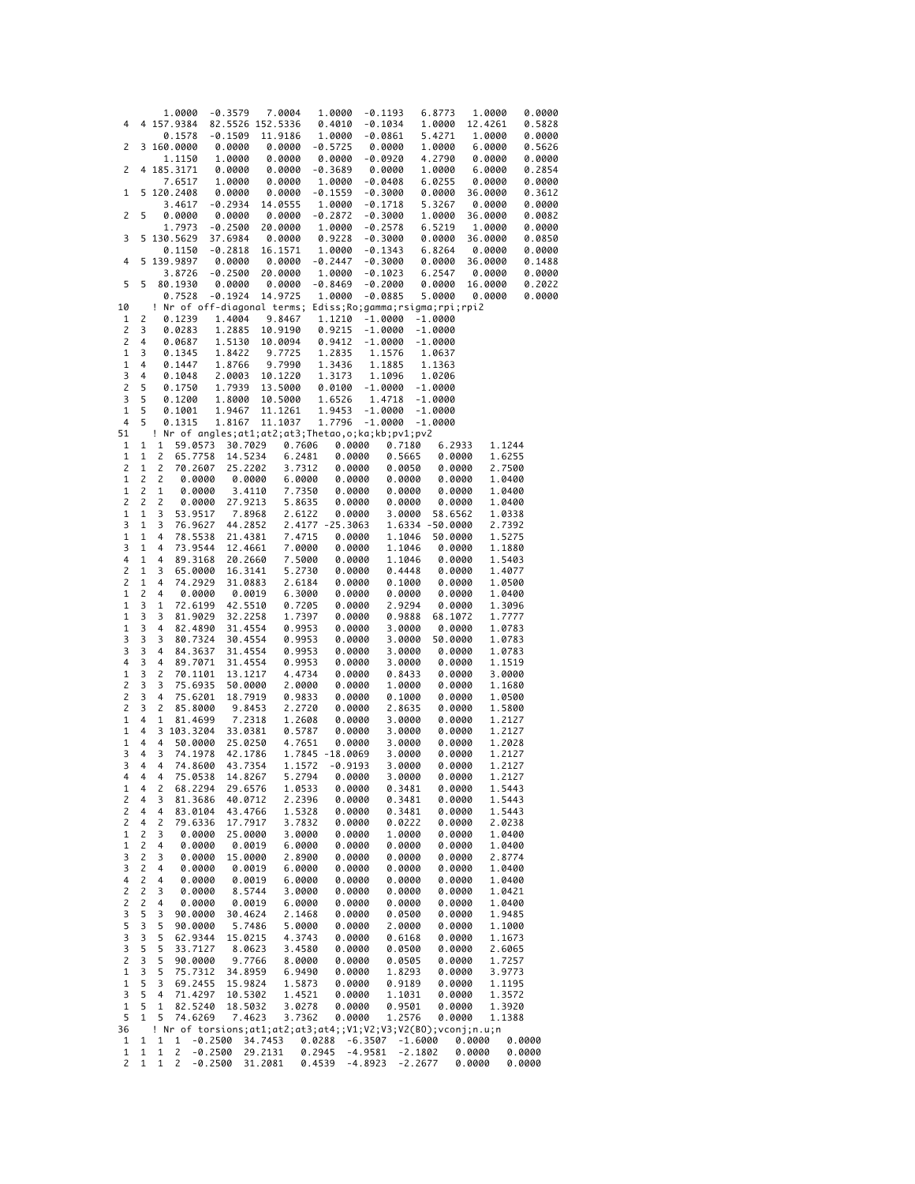|                         |   | 1.0000                  | $-0.3579$                                                     |                  | 7.0004          | 1.0000    |            | $-0.1193$ | 6.8773          |         | 1.0000  | 0.0000 |
|-------------------------|---|-------------------------|---------------------------------------------------------------|------------------|-----------------|-----------|------------|-----------|-----------------|---------|---------|--------|
| 4                       | 4 | 157.9384                |                                                               | 82.5526 152.5336 |                 | 0.4010    |            | $-0.1034$ | 1.0000          |         | 12.4261 | 0.5828 |
|                         |   | 0.1578                  | $-0.1509$                                                     |                  | 11.9186         | 1.0000    |            | -0.0861   | 5.4271          |         | 1.0000  | 0.0000 |
| 2                       |   | 3 160.0000              | 0.0000                                                        |                  | 0.0000          | $-0.5725$ |            | 0.0000    | 1.0000          |         | 6.0000  | 0.5626 |
|                         |   | 1.1150                  | 1.0000                                                        |                  | 0.0000          | 0.0000    |            | -0.0920   | 4.2790          |         | 0.0000  | 0.0000 |
| $\overline{c}$          |   | 4 185.3171              | 0.0000                                                        |                  | 0.0000          | $-0.3689$ |            | 0.0000    | 1.0000          |         | 6.0000  | 0.2854 |
|                         |   | 7.6517                  | 1.0000                                                        |                  | 0.0000          | 1.0000    |            | $-0.0408$ | 6.0255          |         | 0.0000  | 0.0000 |
| 1                       |   | 5 120.2408              | 0.0000                                                        |                  | 0.0000          | $-0.1559$ |            | $-0.3000$ | 0.0000          |         | 36.0000 | 0.3612 |
|                         |   | 3.4617                  | $-0.2934$                                                     |                  | 14.0555         | 1.0000    |            | $-0.1718$ | 5.3267          |         | 0.0000  | 0.0000 |
|                         |   |                         |                                                               |                  |                 |           |            |           |                 |         |         |        |
| 2                       | 5 | 0.0000                  | 0.0000                                                        |                  | 0.0000          | $-0.2872$ |            | $-0.3000$ | 1.0000          |         | 36.0000 | 0.0082 |
|                         |   | 1.7973                  | $-0.2500$                                                     |                  | 20.0000         | 1.0000    |            | $-0.2578$ | 6.5219          |         | 1.0000  | 0.0000 |
| 3                       | 5 | 130.5629                | 37.6984                                                       |                  | 0.0000          | 0.9228    |            | $-0.3000$ | 0.0000          |         | 36.0000 | 0.0850 |
|                         |   | 0.1150                  | $-0.2818$                                                     |                  | 16.1571         | 1.0000    |            | -0.1343   | 6.8264          |         | 0.0000  | 0.0000 |
| 4                       |   | 5 139.9897              | 0.0000                                                        |                  | 0.0000          | $-0.2447$ |            | $-0.3000$ | 0.0000          |         | 36.0000 | 0.1488 |
|                         |   | 3.8726                  | $-0.2500$                                                     |                  | 20.0000         | 1.0000    |            | $-0.1023$ | 6.2547          |         | 0.0000  | 0.0000 |
| 5                       | 5 | 80.1930                 | 0.0000                                                        |                  | 0.0000          | $-0.8469$ |            | $-0.2000$ | 0.0000          |         | 16.0000 | 0.2022 |
|                         |   | 0.7528                  | $-0.1924$                                                     |                  | 14.9725         | 1.0000    |            | $-0.0885$ | 5.0000          |         | 0.0000  | 0.0000 |
| 10                      |   |                         | ! Nr of off-diagonal terms; Ediss;Ro;gamma;rsigma;rpi;rpi2    |                  |                 |           |            |           |                 |         |         |        |
| 1                       | 2 | 0.1239                  | 1.4004                                                        |                  | 9.8467          | 1.1210    |            | $-1.0000$ | $-1.0000$       |         |         |        |
| 2                       | 3 | 0.0283                  | 1.2885                                                        |                  | 10.9190         | 0.9215    |            | $-1.0000$ | $-1.0000$       |         |         |        |
| $\overline{c}$          | 4 | 0.0687                  | 1.5130                                                        |                  | 10.0094         | 0.9412    |            | $-1.0000$ | $-1.0000$       |         |         |        |
| $\mathbf 1$             |   |                         |                                                               |                  |                 |           |            |           |                 |         |         |        |
|                         | 3 | 0.1345                  | 1.8422                                                        |                  | 9.7725          | 1.2835    |            | 1.1576    | 1.0637          |         |         |        |
| 1                       | 4 | 0.1447                  | 1.8766                                                        |                  | 9.7990          | 1.3436    |            | 1.1885    | 1.1363          |         |         |        |
| 3                       | 4 | 0.1048                  | 2.0003                                                        |                  | 10.1220         | 1.3173    |            | 1.1096    | 1.0206          |         |         |        |
| $\overline{c}$          | 5 | 0.1750                  | 1.7939                                                        |                  | 13.5000         | 0.0100    |            | $-1.0000$ | $-1.0000$       |         |         |        |
| 3                       | 5 | 0.1200                  | 1.8000                                                        |                  | 10.5000         | 1.6526    |            | 1.4718    | $-1.0000$       |         |         |        |
| $\mathbf 1$             | 5 | 0.1001                  | 1.9467                                                        |                  | 11.1261         | 1.9453    |            | $-1.0000$ | $-1.0000$       |         |         |        |
| 4                       | 5 | 0.1315                  | 1.8167                                                        |                  | 11.1037         | 1.7796    |            | $-1.0000$ | $-1.0000$       |         |         |        |
| 51                      |   |                         | ! Nr of angles;at1;at2;at3;Thetao,o;ka;kb;pv1;pv2             |                  |                 |           |            |           |                 |         |         |        |
| 1                       | 1 | 1                       | 59.0573                                                       | 30.7029          | 0.7606          |           | 0.0000     | 0.7180    |                 | 6.2933  | 1.1244  |        |
| 1                       | 1 | 2                       | 65.7758                                                       | 14.5234          | 6.2481          |           |            | 0.5665    |                 |         | 1.6255  |        |
|                         |   |                         |                                                               |                  |                 |           | 0.0000     |           |                 | 0.0000  |         |        |
| 2                       | 1 | $\overline{c}$          | 70.2607                                                       | 25.2202          | 3.7312          |           | 0.0000     | 0.0050    |                 | 0.0000  | 2.7500  |        |
| 1                       | 2 | 2                       | 0.0000                                                        | 0.0000           | 6.0000          |           | 0.0000     | 0.0000    |                 | 0.0000  | 1.0400  |        |
| $1\,$                   | 2 | $\mathbf 1$             | 0.0000                                                        | 3.4110           | 7.7350          |           | 0.0000     | 0.0000    |                 | 0.0000  | 1.0400  |        |
| 2                       | 2 | 2                       | 0.0000                                                        | 27.9213          | 5.8635          |           | 0.0000     | 0.0000    |                 | 0.0000  | 1.0400  |        |
| 1                       | 1 | 3                       | 53.9517                                                       | 7.8968           | 2.6122          |           | 0.0000     | 3.0000    |                 | 58.6562 | 1.0338  |        |
| 3                       | 1 | 3                       | 76.9627                                                       | 44.2852          | 2.4177          |           | $-25.3063$ |           | 1.6334 -50.0000 |         | 2.7392  |        |
| $\mathbf 1$             | 1 | 4                       | 78.5538                                                       | 21.4381          | 7.4715          |           | 0.0000     | 1.1046    |                 | 50.0000 | 1.5275  |        |
| 3                       | 1 | 4                       | 73.9544                                                       | 12.4661          | 7.0000          |           | 0.0000     | 1.1046    |                 | 0.0000  | 1.1880  |        |
| 4                       | 1 | 4                       | 89.3168                                                       | 20.2660          | 7.5000          |           | 0.0000     | 1.1046    |                 | 0.0000  | 1.5403  |        |
| $\overline{\mathbf{c}}$ | 1 | 3                       | 65.0000                                                       | 16.3141          | 5.2730          |           | 0.0000     | 0.4448    |                 | 0.0000  | 1.4077  |        |
| $\mathsf{2}$            |   |                         |                                                               |                  |                 |           |            |           |                 |         |         |        |
|                         | 1 | 4                       | 74.2929                                                       | 31.0883          | 2.6184          |           | 0.0000     | 0.1000    |                 | 0.0000  | 1.0500  |        |
| $\mathbf 1$             | 2 | 4                       | 0.0000                                                        | 0.0019           | 6.3000          |           | 0.0000     | 0.0000    |                 | 0.0000  | 1.0400  |        |
| $\mathbf 1$             | 3 | $\mathbf 1$             | 72.6199                                                       | 42.5510          | 0.7205          |           | 0.0000     | 2.9294    |                 | 0.0000  | 1.3096  |        |
| $1\,$                   | 3 | 3                       | 81.9029                                                       | 32.2258          | 1.7397          |           | 0.0000     | 0.9888    |                 | 68.1072 | 1.7777  |        |
| $\mathbf 1$             | 3 | 4                       | 82.4890                                                       | 31.4554          | 0.9953          |           | 0.0000     | 3.0000    |                 | 0.0000  | 1.0783  |        |
| 3                       | 3 | 3                       | 80.7324                                                       | 30.4554          | 0.9953          |           | 0.0000     | 3.0000    |                 | 50.0000 | 1.0783  |        |
| 3                       | 3 | 4                       | 84.3637                                                       | 31.4554          | 0.9953          |           | 0.0000     | 3.0000    |                 | 0.0000  | 1.0783  |        |
| $\overline{\mathbf{4}}$ | 3 | 4                       | 89.7071                                                       | 31.4554          | 0.9953          |           | 0.0000     | 3.0000    |                 | 0.0000  | 1.1519  |        |
| $\mathbf 1$             | 3 | 2                       | 70.1101                                                       | 13.1217          | 4.4734          |           | 0.0000     | 0.8433    |                 | 0.0000  | 3.0000  |        |
| $\mathsf{2}$            | 3 | 3                       | 75.6935                                                       |                  |                 |           | 0.0000     | 1.0000    |                 |         |         |        |
| $\mathsf{2}$            | 3 | 4                       |                                                               | 50.0000          | 2.0000          |           |            |           |                 | 0.0000  | 1.1680  |        |
|                         |   |                         | 75.6201                                                       | 18.7919          | 0.9833          |           | 0.0000     | 0.1000    |                 | 0.0000  | 1.0500  |        |
| $\overline{c}$          | 3 | $\overline{\mathbf{c}}$ | 85.8000                                                       | 9.8453           | 2.2720          |           | 0.0000     | 2.8635    |                 | 0.0000  | 1.5800  |        |
| $1\,$                   | 4 | $\mathbf 1$             | 81.4699                                                       | 7.2318           | 1.2608          |           | 0.0000     | 3.0000    |                 | 0.0000  | 1.2127  |        |
| 1                       | 4 | 3<br>103.3204           |                                                               | 33.0381          | 0.5787          |           | 0.0000     | 3.0000    |                 | 0.0000  | 1.2127  |        |
| 1                       | 4 | 4                       | 50.0000                                                       | 25.0250          | 4.7651          |           | 0.0000     | 3.0000    |                 | 0.0000  | 1.2028  |        |
| 3                       | 4 | 3                       | 74.1978                                                       | 42.1786          | 1.7845 -18.0069 |           |            | 3.0000    |                 | 0.0000  | 1.2127  |        |
| 3                       | 4 | 4                       | 74.8600                                                       | 43.7354          | 1.1572          |           | -0.9193    | 3.0000    |                 | 0.0000  | 1.2127  |        |
| 4                       | 4 | 4                       | 75.0538                                                       | 14.8267          | 5.2794          |           | 0.0000     | 3.0000    |                 | 0.0000  | 1.2127  |        |
| 1                       | 4 | 2                       | 68.2294                                                       | 29.6576          | 1.0533          |           | 0.0000     | 0.3481    |                 | 0.0000  | 1.5443  |        |
| 2                       | 4 | 3                       | 81.3686                                                       | 40.0712          | 2.2396          |           | 0.0000     | 0.3481    |                 | 0.0000  | 1.5443  |        |
|                         |   |                         |                                                               |                  |                 |           |            |           |                 |         |         |        |
| 2                       | 4 | 4                       | 83.0104                                                       | 43.4766          | 1.5328          |           | 0.0000     | 0.3481    |                 | 0.0000  | 1.5443  |        |
| 2                       | 4 | 2                       | 79.6336                                                       | 17.7917          | 3.7832          |           | 0.0000     | 0.0222    |                 | 0.0000  | 2.0238  |        |
| 1                       | 2 | 3                       | 0.0000                                                        | 25.0000          | 3.0000          |           | 0.0000     | 1.0000    |                 | 0.0000  | 1.0400  |        |
| 1                       | 2 | 4                       | 0.0000                                                        | 0.0019           | 6.0000          |           | 0.0000     | 0.0000    |                 | 0.0000  | 1.0400  |        |
| 3                       | 2 | 3                       | 0.0000                                                        | 15.0000          | 2.8900          |           | 0.0000     | 0.0000    |                 | 0.0000  | 2.8774  |        |
| 3                       | 2 | 4                       | 0.0000                                                        | 0.0019           | 6.0000          |           | 0.0000     | 0.0000    |                 | 0.0000  | 1.0400  |        |
| 4                       | 2 | 4                       | 0.0000                                                        | 0.0019           | 6.0000          |           | 0.0000     | 0.0000    |                 | 0.0000  | 1.0400  |        |
| $\overline{c}$          | 2 | 3                       | 0.0000                                                        |                  |                 |           |            |           |                 |         |         |        |
| $\overline{\mathbf{c}}$ | 2 | 4                       |                                                               | 8.5744           | 3.0000          |           | 0.0000     | 0.0000    |                 | 0.0000  | 1.0421  |        |
|                         |   |                         | 0.0000                                                        | 0.0019           | 6.0000          |           | 0.0000     | 0.0000    |                 | 0.0000  | 1.0400  |        |
| 3                       | 5 | 3                       | 90.0000                                                       | 30.4624          | 2.1468          |           | 0.0000     | 0.0500    |                 | 0.0000  | 1.9485  |        |
| 5                       | 3 | 5                       | 90.0000                                                       | 5.7486           | 5.0000          |           | 0.0000     | 2.0000    |                 | 0.0000  | 1.1000  |        |
| 3                       | 3 | 5                       | 62.9344                                                       | 15.0215          | 4.3743          |           | 0.0000     | 0.6168    |                 | 0.0000  | 1.1673  |        |
| 3                       | 5 | 5                       | 33.7127                                                       | 8.0623           | 3.4580          |           | 0.0000     | 0.0500    |                 | 0.0000  | 2.6065  |        |
| $\overline{c}$          | 3 | 5                       | 90.0000                                                       | 9.7766           | 8.0000          |           | 0.0000     | 0.0505    |                 | 0.0000  | 1.7257  |        |
| $\mathbf 1$             | 3 | 5                       | 75.7312                                                       | 34.8959          | 6.9490          |           | 0.0000     | 1.8293    |                 | 0.0000  | 3.9773  |        |
| 1                       | 5 | 3                       | 69.2455                                                       | 15.9824          | 1.5873          |           | 0.0000     | 0.9189    |                 | 0.0000  | 1.1195  |        |
| 3                       | 5 | 4                       | 71.4297                                                       | 10.5302          | 1.4521          |           | 0.0000     | 1.1031    |                 | 0.0000  | 1.3572  |        |
| 1                       | 5 | 1                       | 82.5240                                                       | 18.5032          | 3.0278          |           | 0.0000     | 0.9501    |                 | 0.0000  | 1.3920  |        |
| 5                       | 1 | 5                       | 74.6269                                                       | 7.4623           | 3.7362          |           | 0.0000     | 1.2576    |                 | 0.0000  | 1.1388  |        |
|                         |   |                         |                                                               |                  |                 |           |            |           |                 |         |         |        |
| 36                      |   |                         | ! Nr of torsions;at1;at2;at3;at4;;V1;V2;V3;V2(B0);vconj;n.u;n |                  |                 |           |            |           |                 |         |         |        |
| 1                       | 1 | 1<br>1                  | -0.2500                                                       | 34.7453          |                 | 0.0288    | $-6.3507$  |           | -1.6000         | 0.0000  |         | 0.0000 |
| 1                       | 1 | $\mathbf{1}$<br>2       | $-0.2500$                                                     | 29.2131          |                 | 0.2945    | -4.9581    |           | $-2.1802$       | 0.0000  |         | 0.0000 |
| 2                       | 1 | 1<br>2                  | -0.2500                                                       | 31.2081          |                 | 0.4539    | -4.8923    |           | $-2.2677$       | 0.0000  |         | 0.0000 |